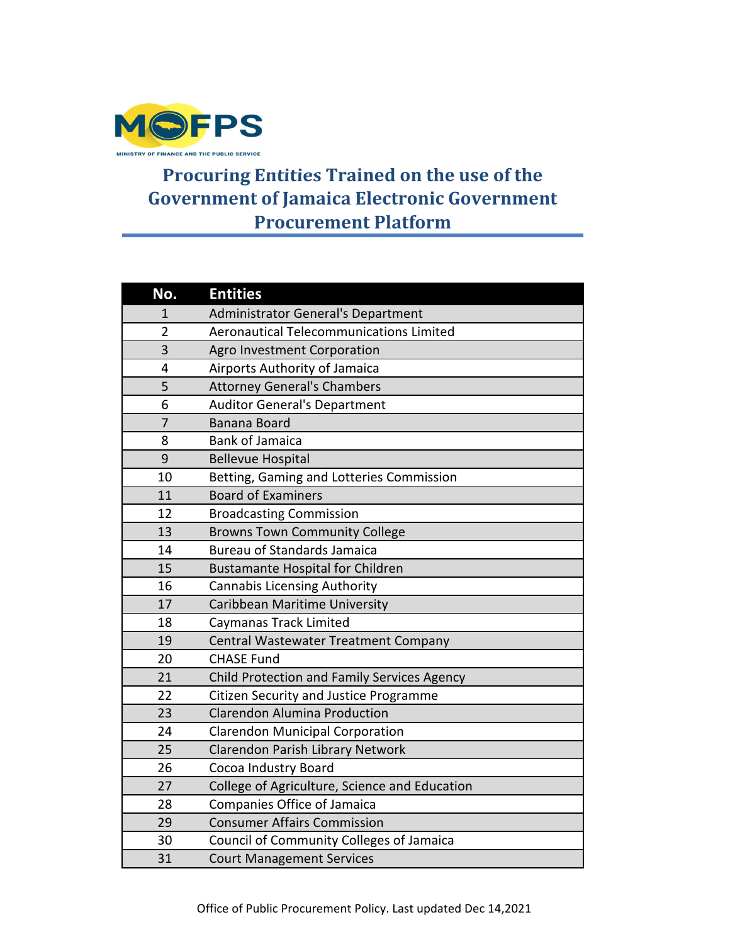

## **Procuring Entities Trained on the use of the Government of Jamaica Electronic Government Procurement Platform**

| No.            | <b>Entities</b>                                |
|----------------|------------------------------------------------|
| 1              | <b>Administrator General's Department</b>      |
| $\overline{2}$ | <b>Aeronautical Telecommunications Limited</b> |
| 3              | Agro Investment Corporation                    |
| 4              | Airports Authority of Jamaica                  |
| 5              | <b>Attorney General's Chambers</b>             |
| 6              | <b>Auditor General's Department</b>            |
| $\overline{7}$ | Banana Board                                   |
| 8              | <b>Bank of Jamaica</b>                         |
| 9              | <b>Bellevue Hospital</b>                       |
| 10             | Betting, Gaming and Lotteries Commission       |
| 11             | <b>Board of Examiners</b>                      |
| 12             | <b>Broadcasting Commission</b>                 |
| 13             | <b>Browns Town Community College</b>           |
| 14             | <b>Bureau of Standards Jamaica</b>             |
| 15             | <b>Bustamante Hospital for Children</b>        |
| 16             | <b>Cannabis Licensing Authority</b>            |
| 17             | Caribbean Maritime University                  |
| 18             | Caymanas Track Limited                         |
| 19             | Central Wastewater Treatment Company           |
| 20             | <b>CHASE Fund</b>                              |
| 21             | Child Protection and Family Services Agency    |
| 22             | Citizen Security and Justice Programme         |
| 23             | <b>Clarendon Alumina Production</b>            |
| 24             | <b>Clarendon Municipal Corporation</b>         |
| 25             | Clarendon Parish Library Network               |
| 26             | Cocoa Industry Board                           |
| 27             | College of Agriculture, Science and Education  |
| 28             | Companies Office of Jamaica                    |
| 29             | <b>Consumer Affairs Commission</b>             |
| 30             | Council of Community Colleges of Jamaica       |
| 31             | <b>Court Management Services</b>               |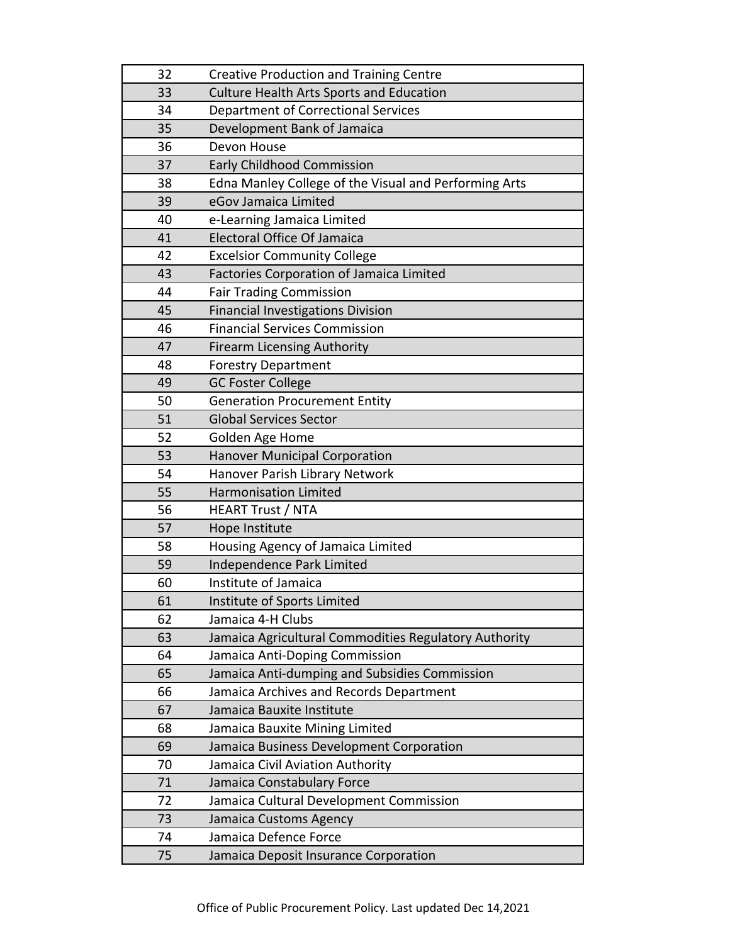| 32 | <b>Creative Production and Training Centre</b>        |
|----|-------------------------------------------------------|
| 33 | <b>Culture Health Arts Sports and Education</b>       |
| 34 | <b>Department of Correctional Services</b>            |
| 35 | Development Bank of Jamaica                           |
| 36 | Devon House                                           |
| 37 | <b>Early Childhood Commission</b>                     |
| 38 | Edna Manley College of the Visual and Performing Arts |
| 39 | eGov Jamaica Limited                                  |
| 40 | e-Learning Jamaica Limited                            |
| 41 | <b>Electoral Office Of Jamaica</b>                    |
| 42 | <b>Excelsior Community College</b>                    |
| 43 | <b>Factories Corporation of Jamaica Limited</b>       |
| 44 | <b>Fair Trading Commission</b>                        |
| 45 | <b>Financial Investigations Division</b>              |
| 46 | <b>Financial Services Commission</b>                  |
| 47 | <b>Firearm Licensing Authority</b>                    |
| 48 | <b>Forestry Department</b>                            |
| 49 | <b>GC Foster College</b>                              |
| 50 | <b>Generation Procurement Entity</b>                  |
| 51 | <b>Global Services Sector</b>                         |
| 52 | Golden Age Home                                       |
| 53 | <b>Hanover Municipal Corporation</b>                  |
| 54 | Hanover Parish Library Network                        |
| 55 | <b>Harmonisation Limited</b>                          |
| 56 | <b>HEART Trust / NTA</b>                              |
| 57 | Hope Institute                                        |
| 58 | Housing Agency of Jamaica Limited                     |
| 59 | Independence Park Limited                             |
| 60 | Institute of Jamaica                                  |
| 61 | Institute of Sports Limited                           |
| 62 | Jamaica 4-H Clubs                                     |
| 63 | Jamaica Agricultural Commodities Regulatory Authority |
| 64 | Jamaica Anti-Doping Commission                        |
| 65 | Jamaica Anti-dumping and Subsidies Commission         |
| 66 | Jamaica Archives and Records Department               |
| 67 | Jamaica Bauxite Institute                             |
| 68 | Jamaica Bauxite Mining Limited                        |
| 69 | Jamaica Business Development Corporation              |
| 70 | Jamaica Civil Aviation Authority                      |
| 71 | Jamaica Constabulary Force                            |
| 72 | Jamaica Cultural Development Commission               |
| 73 | Jamaica Customs Agency                                |
| 74 | Jamaica Defence Force                                 |
| 75 | Jamaica Deposit Insurance Corporation                 |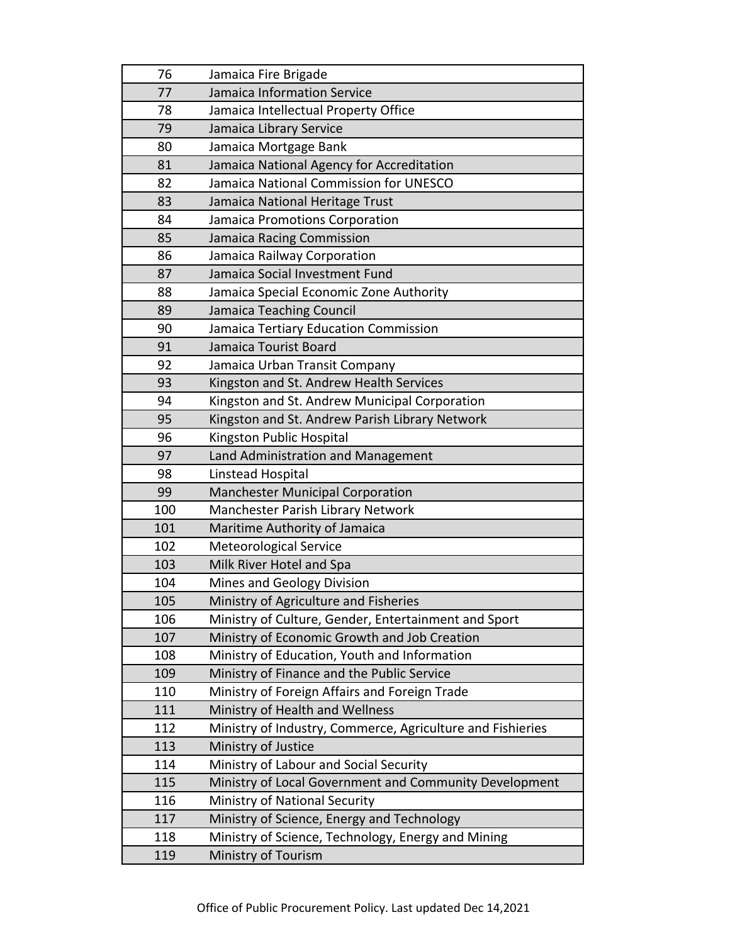| 76  | Jamaica Fire Brigade                                       |
|-----|------------------------------------------------------------|
| 77  | Jamaica Information Service                                |
| 78  | Jamaica Intellectual Property Office                       |
| 79  | Jamaica Library Service                                    |
| 80  | Jamaica Mortgage Bank                                      |
| 81  | Jamaica National Agency for Accreditation                  |
| 82  | Jamaica National Commission for UNESCO                     |
| 83  | Jamaica National Heritage Trust                            |
| 84  | Jamaica Promotions Corporation                             |
| 85  | Jamaica Racing Commission                                  |
| 86  | Jamaica Railway Corporation                                |
| 87  | Jamaica Social Investment Fund                             |
| 88  | Jamaica Special Economic Zone Authority                    |
| 89  | Jamaica Teaching Council                                   |
| 90  | Jamaica Tertiary Education Commission                      |
| 91  | Jamaica Tourist Board                                      |
| 92  | Jamaica Urban Transit Company                              |
| 93  | Kingston and St. Andrew Health Services                    |
| 94  | Kingston and St. Andrew Municipal Corporation              |
| 95  | Kingston and St. Andrew Parish Library Network             |
| 96  | Kingston Public Hospital                                   |
| 97  | Land Administration and Management                         |
| 98  | Linstead Hospital                                          |
| 99  | <b>Manchester Municipal Corporation</b>                    |
| 100 | Manchester Parish Library Network                          |
| 101 | Maritime Authority of Jamaica                              |
| 102 | <b>Meteorological Service</b>                              |
| 103 | Milk River Hotel and Spa                                   |
| 104 | Mines and Geology Division                                 |
| 105 | Ministry of Agriculture and Fisheries                      |
| 106 | Ministry of Culture, Gender, Entertainment and Sport       |
| 107 | Ministry of Economic Growth and Job Creation               |
| 108 | Ministry of Education, Youth and Information               |
| 109 | Ministry of Finance and the Public Service                 |
| 110 | Ministry of Foreign Affairs and Foreign Trade              |
| 111 | Ministry of Health and Wellness                            |
| 112 | Ministry of Industry, Commerce, Agriculture and Fishieries |
| 113 | Ministry of Justice                                        |
| 114 | Ministry of Labour and Social Security                     |
| 115 | Ministry of Local Government and Community Development     |
| 116 | Ministry of National Security                              |
| 117 |                                                            |
|     | Ministry of Science, Energy and Technology                 |
| 118 | Ministry of Science, Technology, Energy and Mining         |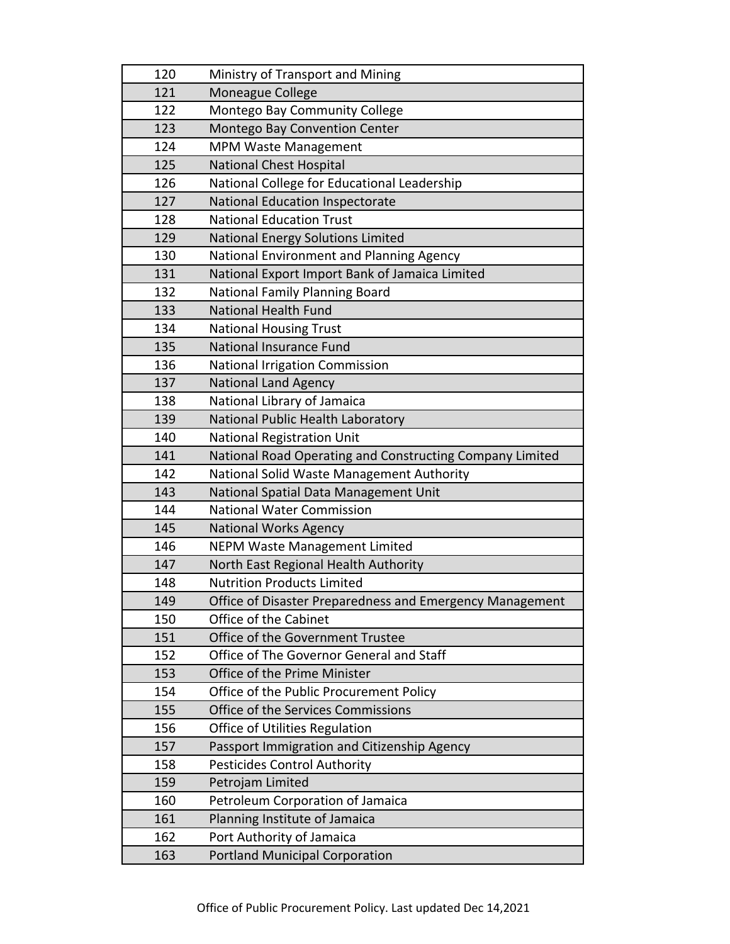| 120 | Ministry of Transport and Mining                         |
|-----|----------------------------------------------------------|
| 121 | Moneague College                                         |
| 122 | Montego Bay Community College                            |
| 123 | Montego Bay Convention Center                            |
| 124 | <b>MPM Waste Management</b>                              |
| 125 | <b>National Chest Hospital</b>                           |
| 126 | National College for Educational Leadership              |
| 127 | National Education Inspectorate                          |
| 128 | <b>National Education Trust</b>                          |
| 129 | National Energy Solutions Limited                        |
| 130 | National Environment and Planning Agency                 |
| 131 | National Export Import Bank of Jamaica Limited           |
| 132 | National Family Planning Board                           |
| 133 | <b>National Health Fund</b>                              |
| 134 | <b>National Housing Trust</b>                            |
| 135 | National Insurance Fund                                  |
| 136 | <b>National Irrigation Commission</b>                    |
| 137 | <b>National Land Agency</b>                              |
| 138 | National Library of Jamaica                              |
| 139 | National Public Health Laboratory                        |
| 140 | <b>National Registration Unit</b>                        |
| 141 | National Road Operating and Constructing Company Limited |
|     |                                                          |
| 142 | National Solid Waste Management Authority                |
| 143 | National Spatial Data Management Unit                    |
| 144 | <b>National Water Commission</b>                         |
| 145 | <b>National Works Agency</b>                             |
| 146 | <b>NEPM Waste Management Limited</b>                     |
| 147 | North East Regional Health Authority                     |
| 148 | <b>Nutrition Products Limited</b>                        |
| 149 | Office of Disaster Preparedness and Emergency Management |
| 150 | Office of the Cabinet                                    |
| 151 | Office of the Government Trustee                         |
| 152 | Office of The Governor General and Staff                 |
| 153 | Office of the Prime Minister                             |
| 154 | Office of the Public Procurement Policy                  |
| 155 | Office of the Services Commissions                       |
| 156 | Office of Utilities Regulation                           |
| 157 | Passport Immigration and Citizenship Agency              |
| 158 | <b>Pesticides Control Authority</b>                      |
| 159 | Petrojam Limited                                         |
| 160 | Petroleum Corporation of Jamaica                         |
| 161 | Planning Institute of Jamaica                            |
| 162 | Port Authority of Jamaica                                |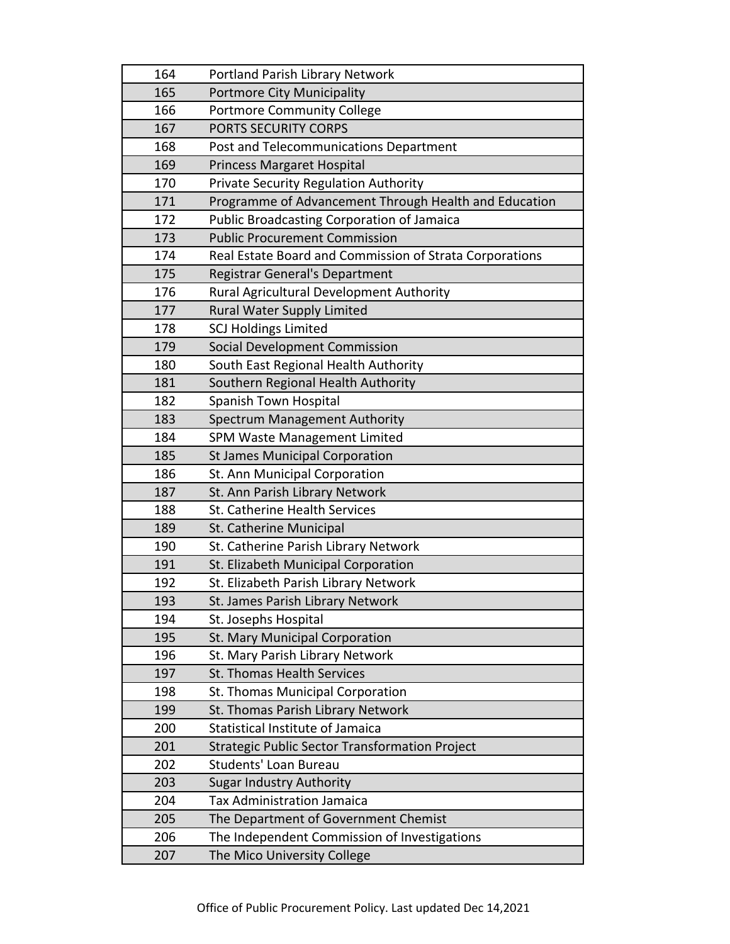| 164 | Portland Parish Library Network                         |
|-----|---------------------------------------------------------|
| 165 | <b>Portmore City Municipality</b>                       |
| 166 | <b>Portmore Community College</b>                       |
| 167 | PORTS SECURITY CORPS                                    |
| 168 | Post and Telecommunications Department                  |
| 169 | <b>Princess Margaret Hospital</b>                       |
| 170 | <b>Private Security Regulation Authority</b>            |
| 171 | Programme of Advancement Through Health and Education   |
| 172 | <b>Public Broadcasting Corporation of Jamaica</b>       |
| 173 | <b>Public Procurement Commission</b>                    |
| 174 | Real Estate Board and Commission of Strata Corporations |
| 175 | <b>Registrar General's Department</b>                   |
| 176 | <b>Rural Agricultural Development Authority</b>         |
| 177 | <b>Rural Water Supply Limited</b>                       |
| 178 | <b>SCJ Holdings Limited</b>                             |
| 179 | Social Development Commission                           |
| 180 | South East Regional Health Authority                    |
| 181 | Southern Regional Health Authority                      |
| 182 | Spanish Town Hospital                                   |
| 183 | Spectrum Management Authority                           |
| 184 | SPM Waste Management Limited                            |
| 185 | <b>St James Municipal Corporation</b>                   |
| 186 | St. Ann Municipal Corporation                           |
| 187 | St. Ann Parish Library Network                          |
| 188 | St. Catherine Health Services                           |
| 189 | St. Catherine Municipal                                 |
| 190 | St. Catherine Parish Library Network                    |
| 191 | St. Elizabeth Municipal Corporation                     |
| 192 | St. Elizabeth Parish Library Network                    |
| 193 | St. James Parish Library Network                        |
| 194 | St. Josephs Hospital                                    |
| 195 | St. Mary Municipal Corporation                          |
| 196 | St. Mary Parish Library Network                         |
| 197 | <b>St. Thomas Health Services</b>                       |
| 198 | St. Thomas Municipal Corporation                        |
| 199 | St. Thomas Parish Library Network                       |
| 200 | Statistical Institute of Jamaica                        |
| 201 | Strategic Public Sector Transformation Project          |
| 202 | Students' Loan Bureau                                   |
| 203 | <b>Sugar Industry Authority</b>                         |
| 204 | <b>Tax Administration Jamaica</b>                       |
| 205 | The Department of Government Chemist                    |
| 206 | The Independent Commission of Investigations            |
| 207 | The Mico University College                             |